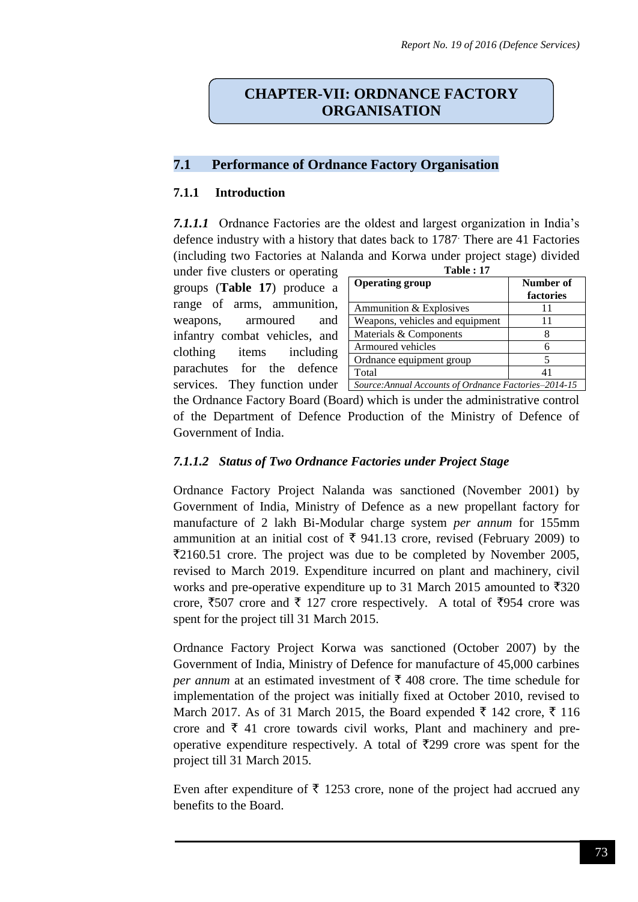# **CHAPTER-VII: ORDNANCE FACTORY ORGANISATION**

### **7.1 Performance of Ordnance Factory Organisation**

### **7.1.1 Introduction**

*7.1.1.1* Ordnance Factories are the oldest and largest organization in India's defence industry with a history that dates back to 1787. There are 41 Factories (including two Factories at Nalanda and Korwa under project stage) divided

under five clusters or operating groups (**Table 17**) produce a range of arms, ammunition, weapons, armoured and infantry combat vehicles, and clothing items including parachutes for the defence services. They function under

| <b>Table: 17</b>                                      |                        |  |  |  |
|-------------------------------------------------------|------------------------|--|--|--|
| <b>Operating group</b>                                | Number of<br>factories |  |  |  |
| Ammunition & Explosives                               | 11                     |  |  |  |
| Weapons, vehicles and equipment                       | 11                     |  |  |  |
| Materials & Components                                | 8                      |  |  |  |
| Armoured vehicles                                     | 6                      |  |  |  |
| Ordnance equipment group                              |                        |  |  |  |
| Total                                                 | 41                     |  |  |  |
| Source: Annual Accounts of Ordnance Factories-2014-15 |                        |  |  |  |

the Ordnance Factory Board (Board) which is under the administrative control of the Department of Defence Production of the Ministry of Defence of Government of India.

## *7.1.1.2 Status of Two Ordnance Factories under Project Stage*

Ordnance Factory Project Nalanda was sanctioned (November 2001) by Government of India, Ministry of Defence as a new propellant factory for manufacture of 2 lakh Bi-Modular charge system *per annum* for 155mm ammunition at an initial cost of  $\bar{\tau}$  941.13 crore, revised (February 2009) to  $\overline{2}2160.51$  crore. The project was due to be completed by November 2005, revised to March 2019. Expenditure incurred on plant and machinery, civil works and pre-operative expenditure up to 31 March 2015 amounted to  $\overline{\xi}320$ crore,  $\overline{\xi}507$  crore and  $\overline{\xi}$  127 crore respectively. A total of  $\overline{\xi}954$  crore was spent for the project till 31 March 2015.

Ordnance Factory Project Korwa was sanctioned (October 2007) by the Government of India, Ministry of Defence for manufacture of 45,000 carbines *per annum* at an estimated investment of  $\bar{\tau}$  408 crore. The time schedule for implementation of the project was initially fixed at October 2010, revised to March 2017. As of 31 March 2015, the Board expended  $\bar{\xi}$  142 crore,  $\bar{\xi}$  116 crore and  $\bar{\tau}$  41 crore towards civil works, Plant and machinery and preoperative expenditure respectively. A total of  $\overline{5}299$  crore was spent for the project till 31 March 2015.

Even after expenditure of  $\bar{\tau}$  1253 crore, none of the project had accrued any benefits to the Board.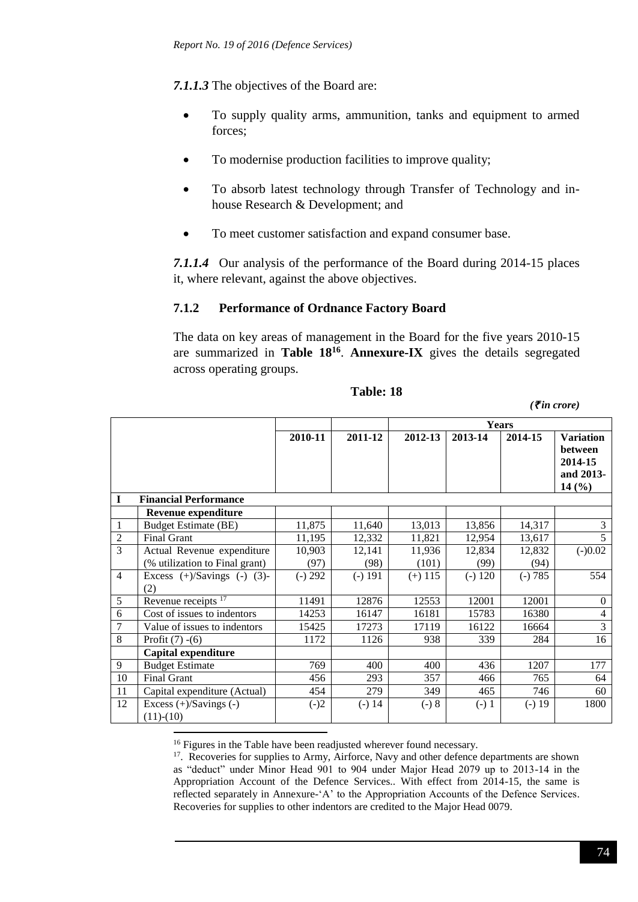*7.1.1.3* The objectives of the Board are:

- To supply quality arms, ammunition, tanks and equipment to armed forces;
- To modernise production facilities to improve quality;
- To absorb latest technology through Transfer of Technology and inhouse Research & Development; and
- To meet customer satisfaction and expand consumer base.

*7.1.1.4* Our analysis of the performance of the Board during 2014-15 places it, where relevant, against the above objectives.

## **7.1.2 Performance of Ordnance Factory Board**

The data on key areas of management in the Board for the five years 2010-15 are summarized in **Table 18<sup>16</sup>** . **Annexure-IX** gives the details segregated across operating groups.

| Table: 18 |  |
|-----------|--|
|           |  |

*(*` *in crore)*

|                |                                           |           |           | <b>Years</b> |           |           |                                                                     |
|----------------|-------------------------------------------|-----------|-----------|--------------|-----------|-----------|---------------------------------------------------------------------|
|                |                                           | 2010-11   | 2011-12   | 2012-13      | 2013-14   | 2014-15   | <b>Variation</b><br><b>between</b><br>2014-15<br>and 2013-<br>14(%) |
| $\mathbf I$    | <b>Financial Performance</b>              |           |           |              |           |           |                                                                     |
|                | <b>Revenue expenditure</b>                |           |           |              |           |           |                                                                     |
| 1              | <b>Budget Estimate (BE)</b>               | 11,875    | 11,640    | 13,013       | 13,856    | 14,317    | 3                                                                   |
| $\overline{2}$ | <b>Final Grant</b>                        | 11,195    | 12,332    | 11,821       | 12,954    | 13,617    | 5                                                                   |
| 3              | Actual Revenue expenditure                | 10,903    | 12,141    | 11,936       | 12,834    | 12,832    | $(-)0.02$                                                           |
|                | (% utilization to Final grant)            | (97)      | (98)      | (101)        | (99)      | (94)      |                                                                     |
| $\overline{4}$ | Excess $(+)/$ Savings $(-)$ $(3)-$<br>(2) | $(-) 292$ | $(-) 191$ | $(+)$ 115    | $(-) 120$ | $(-) 785$ | 554                                                                 |
| 5              | Revenue receipts <sup>17</sup>            | 11491     | 12876     | 12553        | 12001     | 12001     | $\boldsymbol{0}$                                                    |
| 6              | Cost of issues to indentors               | 14253     | 16147     | 16181        | 15783     | 16380     | $\overline{4}$                                                      |
| $\overline{7}$ | Value of issues to indentors              | 15425     | 17273     | 17119        | 16122     | 16664     | 3                                                                   |
| 8              | Profit $(7) - (6)$                        | 1172      | 1126      | 938          | 339       | 284       | 16                                                                  |
|                | Capital expenditure                       |           |           |              |           |           |                                                                     |
| 9              | <b>Budget Estimate</b>                    | 769       | 400       | 400          | 436       | 1207      | 177                                                                 |
| 10             | <b>Final Grant</b>                        | 456       | 293       | 357          | 466       | 765       | 64                                                                  |
| 11             | Capital expenditure (Actual)              | 454       | 279       | 349          | 465       | 746       | 60                                                                  |
| 12             | Excess (+)/Savings (-)<br>$(11)-(10)$     | $(-)2$    | $(-) 14$  | $(-) 8$      | $(-) 1$   | $(-) 19$  | 1800                                                                |
|                |                                           |           |           |              |           |           |                                                                     |

<sup>16</sup> Figures in the Table have been readjusted wherever found necessary.

<sup>17</sup>. Recoveries for supplies to Army, Airforce, Navy and other defence departments are shown as "deduct" under Minor Head 901 to 904 under Major Head 2079 up to 2013-14 in the Appropriation Account of the Defence Services.. With effect from 2014-15, the same is reflected separately in Annexure-'A' to the Appropriation Accounts of the Defence Services. Recoveries for supplies to other indentors are credited to the Major Head 0079.

<sup>74</sup>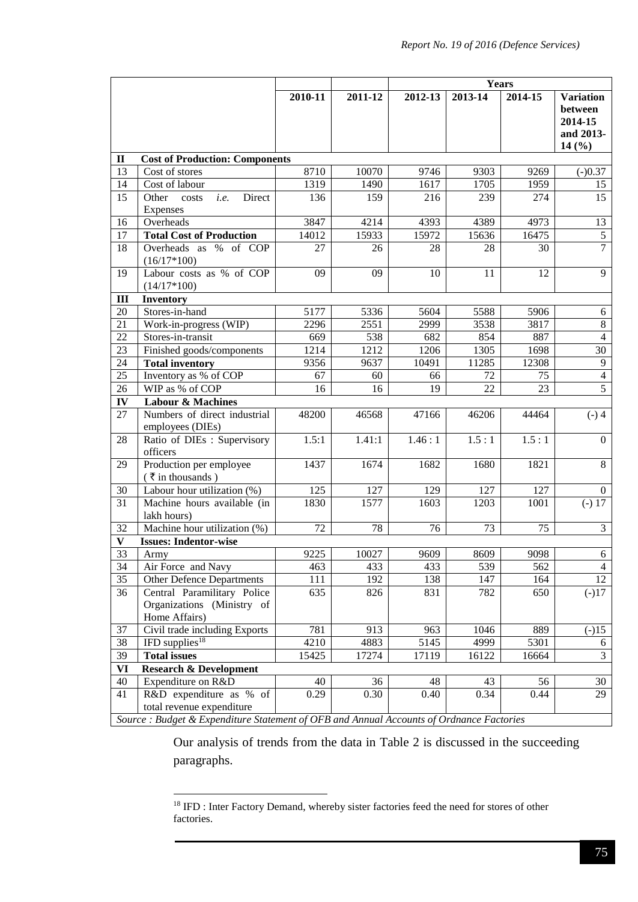|              |                                                                                          |         |         | Years   |                 |                 |                                                              |
|--------------|------------------------------------------------------------------------------------------|---------|---------|---------|-----------------|-----------------|--------------------------------------------------------------|
|              |                                                                                          | 2010-11 | 2011-12 | 2012-13 | 2013-14         | 2014-15         | <b>Variation</b><br>between<br>2014-15<br>and 2013-<br>14(%) |
| $\mathbf{I}$ | <b>Cost of Production: Components</b>                                                    |         |         |         |                 |                 |                                                              |
| 13           | Cost of stores                                                                           | 8710    | 10070   | 9746    | 9303            | 9269            | $(-)0.37$                                                    |
| 14           | Cost of labour                                                                           | 1319    | 1490    | 1617    | 1705            | 1959            | 15                                                           |
| 15           | Other<br>Direct<br>i.e.<br>costs<br>Expenses                                             | 136     | 159     | 216     | 239             | 274             | 15                                                           |
| 16           | Overheads                                                                                | 3847    | 4214    | 4393    | 4389            | 4973            | 13                                                           |
| 17           | <b>Total Cost of Production</b>                                                          | 14012   | 15933   | 15972   | 15636           | 16475           | $\sqrt{5}$                                                   |
| 18           | Overheads as % of COP<br>$(16/17*100)$                                                   | 27      | 26      | 28      | 28              | 30              | $\overline{7}$                                               |
| 19           | Labour costs as % of COP<br>$(14/17*100)$                                                | 09      | 09      | 10      | $\overline{11}$ | 12              | 9                                                            |
| III          | <b>Inventory</b>                                                                         |         |         |         |                 |                 |                                                              |
| 20           | Stores-in-hand                                                                           | 5177    | 5336    | 5604    | 5588            | 5906            | 6                                                            |
| 21           | Work-in-progress (WIP)                                                                   | 2296    | 2551    | 2999    | 3538            | 3817            | $\,8\,$                                                      |
| 22           | Stores-in-transit                                                                        | 669     | 538     | 682     | 854             | 887             | $\overline{4}$                                               |
| 23           | Finished goods/components                                                                | 1214    | 1212    | 1206    | 1305            | 1698            | 30                                                           |
| 24           | <b>Total inventory</b>                                                                   | 9356    | 9637    | 10491   | 11285           | 12308           | 9                                                            |
| 25           | Inventory as % of COP                                                                    | 67      | 60      | 66      | 72              | 75              | $\overline{4}$                                               |
| 26           | WIP as % of COP                                                                          | 16      | 16      | 19      | $\overline{22}$ | $\overline{23}$ | $\overline{5}$                                               |
| IV           | <b>Labour &amp; Machines</b>                                                             |         |         |         |                 |                 |                                                              |
| 27           | Numbers of direct industrial<br>employees (DIEs)                                         | 48200   | 46568   | 47166   | 46206           | 44464           | $(-)$ 4                                                      |
| 28           | Ratio of DIEs: Supervisory<br>officers                                                   | 1.5:1   | 1.41:1  | 1.46:1  | 1.5:1           | 1.5:1           | $\theta$                                                     |
| 29           | Production per employee<br>$(\bar{\tau}$ in thousands)                                   | 1437    | 1674    | 1682    | 1680            | 1821            | 8                                                            |
| 30           | Labour hour utilization (%)                                                              | 125     | 127     | 129     | 127             | 127             | $\boldsymbol{0}$                                             |
| 31           | Machine hours available (in<br>lakh hours)                                               | 1830    | 1577    | 1603    | 1203            | 1001            | $(-) 17$                                                     |
| 32           | Machine hour utilization (%)                                                             | 72      | 78      | 76      | 73              | 75              | $\mathfrak{Z}$                                               |
| $\mathbf{V}$ | <b>Issues: Indentor-wise</b>                                                             |         |         |         |                 |                 |                                                              |
| 33           | Army                                                                                     | 9225    | 10027   | 9609    | 8609            | 9098            | 6                                                            |
| 34           | Air Force and Navy                                                                       | 463     | 433     | 433     | 539             | 562             | $\overline{4}$                                               |
| 35           | <b>Other Defence Departments</b>                                                         | 111     | 192     | 138     | 147             | 164             | 12                                                           |
| 36           | Central Paramilitary Police<br>Organizations (Ministry of<br>Home Affairs)               | 635     | 826     | 831     | 782             | 650             | $(-)17$                                                      |
| 37           | Civil trade including Exports                                                            | 781     | 913     | 963     | 1046            | 889             | $(-)15$                                                      |
| 38           | IFD supplies $18$                                                                        | 4210    | 4883    | 5145    | 4999            | 5301            | 6                                                            |
| 39           | <b>Total issues</b>                                                                      | 15425   | 17274   | 17119   | 16122           | 16664           | 3                                                            |
| <b>VI</b>    | <b>Research &amp; Development</b>                                                        |         |         |         |                 |                 |                                                              |
| 40           | Expenditure on R&D                                                                       | 40      | 36      | 48      | 43              | 56              | 30                                                           |
| 41           | R&D expenditure as % of                                                                  | 0.29    | 0.30    | 0.40    | 0.34            | 0.44            | 29                                                           |
|              | total revenue expenditure                                                                |         |         |         |                 |                 |                                                              |
|              | Source : Budget & Expenditure Statement of OFB and Annual Accounts of Ordnance Factories |         |         |         |                 |                 |                                                              |

Our analysis of trends from the data in Table 2 is discussed in the succeeding paragraphs.

<sup>&</sup>lt;sup>18</sup> IFD : Inter Factory Demand, whereby sister factories feed the need for stores of other factories.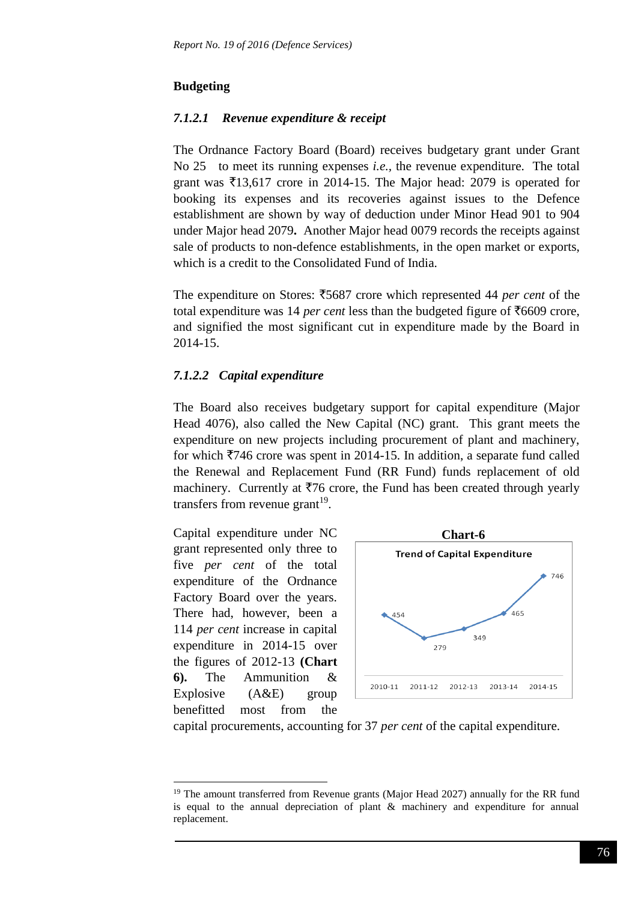## **Budgeting**

## *7.1.2.1 Revenue expenditure & receipt*

The Ordnance Factory Board (Board) receives budgetary grant under Grant No 25 to meet its running expenses *i.e.,* the revenue expenditure. The total grant was  $\overline{5}13,617$  crore in 2014-15. The Major head: 2079 is operated for booking its expenses and its recoveries against issues to the Defence establishment are shown by way of deduction under Minor Head 901 to 904 under Major head 2079**.** Another Major head 0079 records the receipts against sale of products to non-defence establishments, in the open market or exports, which is a credit to the Consolidated Fund of India.

The expenditure on Stores:  $\overline{\text{5687}}$  crore which represented 44 *per cent* of the total expenditure was 14 *per cent* less than the budgeted figure of  $\overline{56609}$  crore, and signified the most significant cut in expenditure made by the Board in 2014-15.

## *7.1.2.2 Capital expenditure*

The Board also receives budgetary support for capital expenditure (Major Head 4076), also called the New Capital (NC) grant. This grant meets the expenditure on new projects including procurement of plant and machinery, for which  $\overline{7}746$  crore was spent in 2014-15. In addition, a separate fund called the Renewal and Replacement Fund (RR Fund) funds replacement of old machinery. Currently at  $\overline{776}$  crore, the Fund has been created through yearly transfers from revenue grant<sup>19</sup>.

Capital expenditure under NC grant represented only three to five *per cent* of the total expenditure of the Ordnance Factory Board over the years. There had, however, been a 114 *per cent* increase in capital expenditure in 2014-15 over the figures of 2012-13 **(Chart 6).** The Ammunition & Explosive  $(A&E)$  group benefitted most from the

1



capital procurements, accounting for 37 *per cent* of the capital expenditure.

<sup>&</sup>lt;sup>19</sup> The amount transferred from Revenue grants (Major Head 2027) annually for the RR fund is equal to the annual depreciation of plant  $\&$  machinery and expenditure for annual replacement.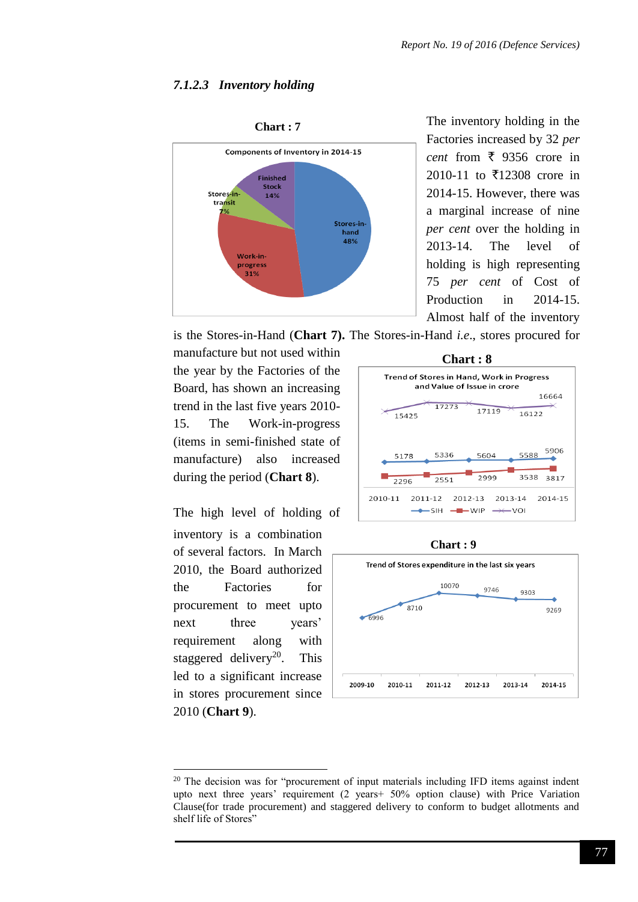### *7.1.2.3 Inventory holding*



The inventory holding in the Factories increased by 32 *per cent* from  $\bar{\xi}$  9356 crore in 2010-11 to  $\overline{5}12308$  crore in 2014-15. However, there was a marginal increase of nine *per cent* over the holding in 2013-14. The level of holding is high representing 75 *per cent* of Cost of Production in 2014-15. Almost half of the inventory

is the Stores-in-Hand (**Chart 7).** The Stores-in-Hand *i.e*., stores procured for

manufacture but not used within the year by the Factories of the Board, has shown an increasing trend in the last five years 2010- 15. The Work-in-progress (items in semi-finished state of manufacture) also increased during the period (**Chart 8**).

The high level of holding of inventory is a combination of several factors. In March 2010, the Board authorized the Factories for procurement to meet upto next three years' requirement along with staggered delivery<sup>20</sup>. This led to a significant increase in stores procurement since 2010 (**Chart 9**).

-









<sup>&</sup>lt;sup>20</sup> The decision was for "procurement of input materials including IFD items against indent upto next three years' requirement (2 years+ 50% option clause) with Price Variation Clause(for trade procurement) and staggered delivery to conform to budget allotments and shelf life of Stores"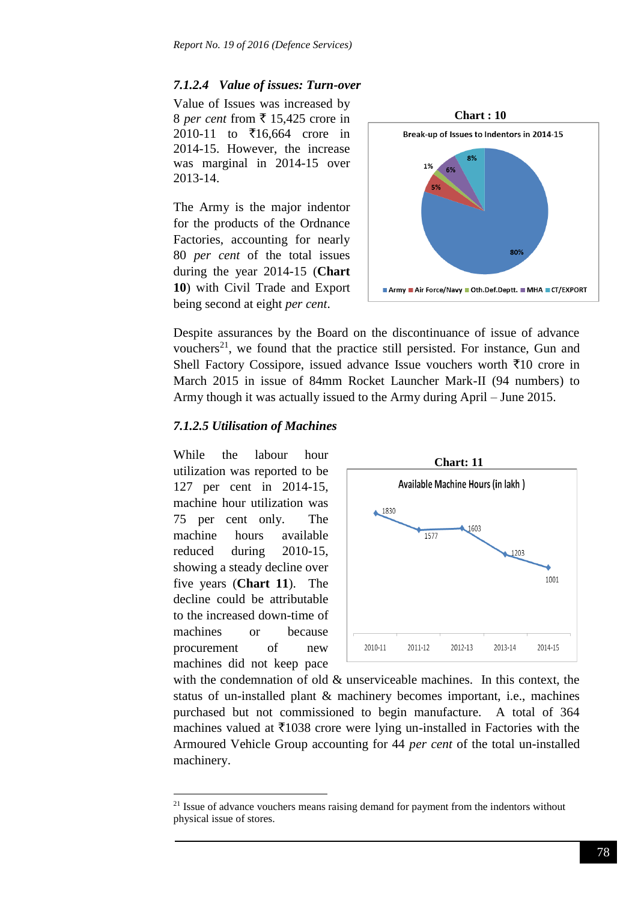### *7.1.2.4 Value of issues: Turn-over*

Value of Issues was increased by 8 *per cent* from  $\overline{\xi}$  15,425 crore in 2010-11 to  $\bar{\xi}$ 16,664 crore in 2014-15. However, the increase was marginal in 2014-15 over 2013-14.

The Army is the major indentor for the products of the Ordnance Factories, accounting for nearly 80 *per cent* of the total issues during the year 2014-15 (**Chart 10**) with Civil Trade and Export being second at eight *per cent*.



Despite assurances by the Board on the discontinuance of issue of advance vouchers<sup>21</sup>, we found that the practice still persisted. For instance, Gun and Shell Factory Cossipore, issued advance Issue vouchers worth  $\bar{x}$ 10 crore in March 2015 in issue of 84mm Rocket Launcher Mark-II (94 numbers) to Army though it was actually issued to the Army during April – June 2015.

### *7.1.2.5 Utilisation of Machines*

While the labour hour utilization was reported to be 127 per cent in 2014-15, machine hour utilization was 75 per cent only. The machine hours available reduced during 2010-15, showing a steady decline over five years (**Chart 11**). The decline could be attributable to the increased down-time of machines or because procurement of new machines did not keep pace

1



with the condemnation of old & unserviceable machines. In this context, the status of un-installed plant & machinery becomes important, i.e., machines purchased but not commissioned to begin manufacture. A total of 364 machines valued at  $\overline{\xi}$ 1038 crore were lying un-installed in Factories with the Armoured Vehicle Group accounting for 44 *per cent* of the total un-installed machinery.

 $2<sup>1</sup>$  Issue of advance vouchers means raising demand for payment from the indentors without physical issue of stores.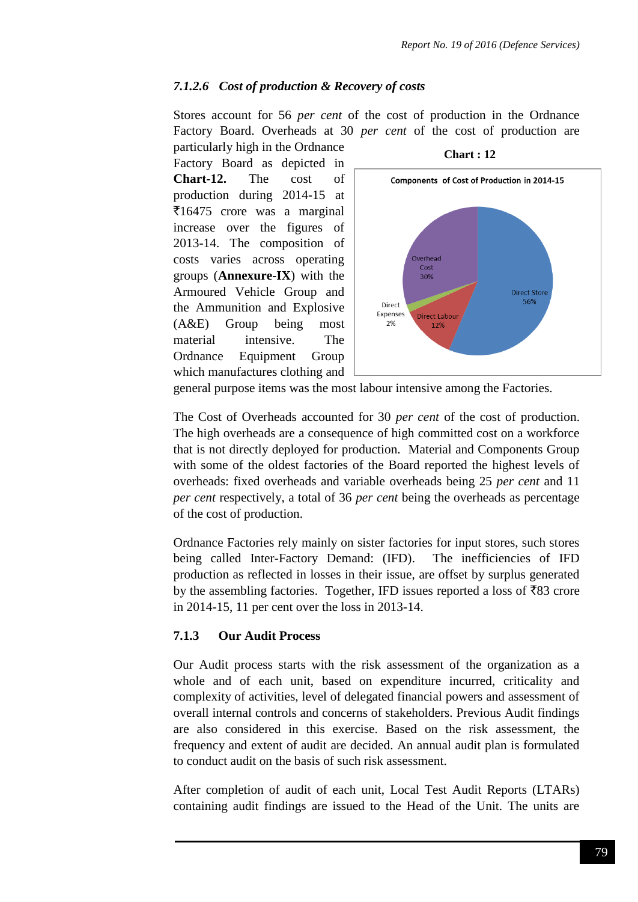### *7.1.2.6 Cost of production & Recovery of costs*

Stores account for 56 *per cent* of the cost of production in the Ordnance Factory Board. Overheads at 30 *per cent* of the cost of production are particularly high in the Ordnance

Factory Board as depicted in **Chart-12.** The cost of production during 2014-15 at  $\overline{\xi}$ 16475 crore was a marginal increase over the figures of 2013-14. The composition of costs varies across operating groups (**Annexure-IX**) with the Armoured Vehicle Group and the Ammunition and Explosive (A&E) Group being most material intensive. The Ordnance Equipment Group which manufactures clothing and





general purpose items was the most labour intensive among the Factories.

The Cost of Overheads accounted for 30 *per cent* of the cost of production. The high overheads are a consequence of high committed cost on a workforce that is not directly deployed for production. Material and Components Group with some of the oldest factories of the Board reported the highest levels of overheads: fixed overheads and variable overheads being 25 *per cent* and 11 *per cent* respectively, a total of 36 *per cent* being the overheads as percentage of the cost of production.

Ordnance Factories rely mainly on sister factories for input stores, such stores being called Inter-Factory Demand: (IFD). The inefficiencies of IFD production as reflected in losses in their issue, are offset by surplus generated by the assembling factories. Together, IFD issues reported a loss of  $\bar{z}83$  crore in 2014-15, 11 per cent over the loss in 2013-14.

#### **7.1.3 Our Audit Process**

Our Audit process starts with the risk assessment of the organization as a whole and of each unit, based on expenditure incurred, criticality and complexity of activities, level of delegated financial powers and assessment of overall internal controls and concerns of stakeholders. Previous Audit findings are also considered in this exercise. Based on the risk assessment, the frequency and extent of audit are decided. An annual audit plan is formulated to conduct audit on the basis of such risk assessment.

After completion of audit of each unit, Local Test Audit Reports (LTARs) containing audit findings are issued to the Head of the Unit. The units are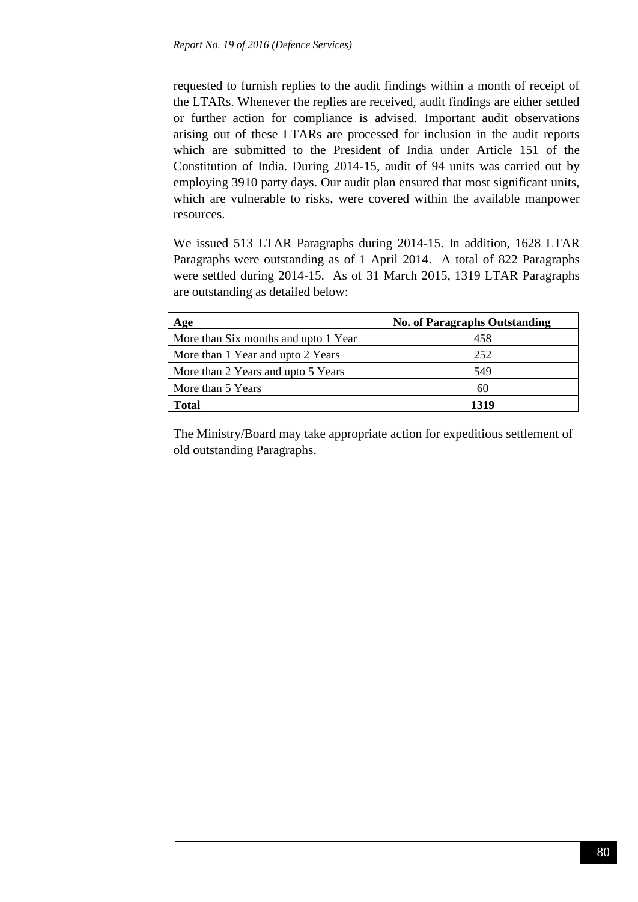requested to furnish replies to the audit findings within a month of receipt of the LTARs. Whenever the replies are received, audit findings are either settled or further action for compliance is advised. Important audit observations arising out of these LTARs are processed for inclusion in the audit reports which are submitted to the President of India under Article 151 of the Constitution of India. During 2014-15, audit of 94 units was carried out by employing 3910 party days. Our audit plan ensured that most significant units, which are vulnerable to risks, were covered within the available manpower resources.

We issued 513 LTAR Paragraphs during 2014-15. In addition, 1628 LTAR Paragraphs were outstanding as of 1 April 2014. A total of 822 Paragraphs were settled during 2014-15. As of 31 March 2015, 1319 LTAR Paragraphs are outstanding as detailed below:

| Age                                  | <b>No. of Paragraphs Outstanding</b> |
|--------------------------------------|--------------------------------------|
| More than Six months and upto 1 Year | 458                                  |
| More than 1 Year and upto 2 Years    | 252                                  |
| More than 2 Years and upto 5 Years   | 549                                  |
| More than 5 Years                    | 60                                   |
| <b>Total</b>                         | 1319                                 |

The Ministry/Board may take appropriate action for expeditious settlement of old outstanding Paragraphs.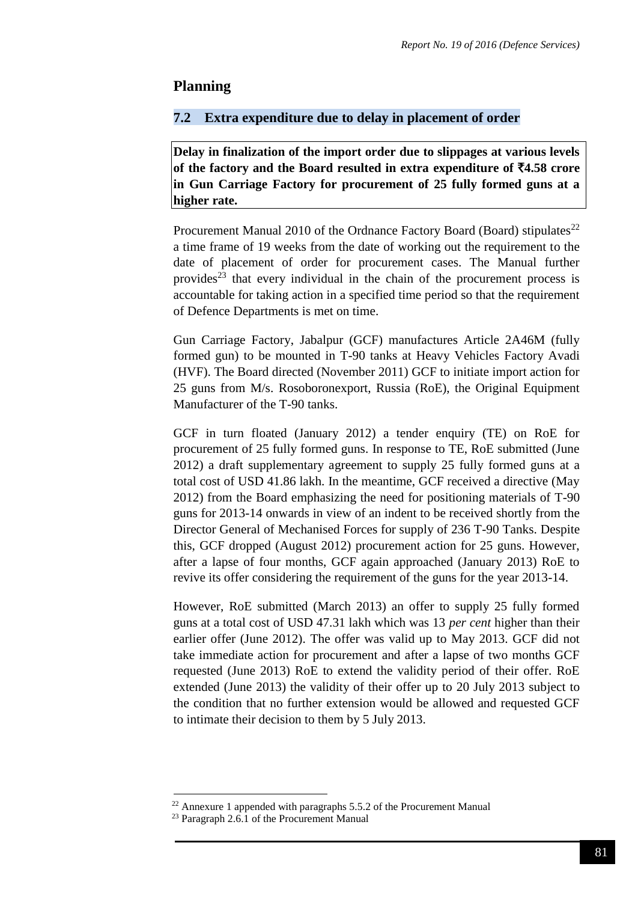## **Planning**

## **7.2 Extra expenditure due to delay in placement of order**

**Delay in finalization of the import order due to slippages at various levels**  of the factory and the Board resulted in extra expenditure of  $\bar{z}4.58$  crore **in Gun Carriage Factory for procurement of 25 fully formed guns at a higher rate.** 

Procurement Manual 2010 of the Ordnance Factory Board (Board) stipulates<sup>22</sup> a time frame of 19 weeks from the date of working out the requirement to the date of placement of order for procurement cases. The Manual further provides<sup>23</sup> that every individual in the chain of the procurement process is accountable for taking action in a specified time period so that the requirement of Defence Departments is met on time.

Gun Carriage Factory, Jabalpur (GCF) manufactures Article 2A46M (fully formed gun) to be mounted in T-90 tanks at Heavy Vehicles Factory Avadi (HVF). The Board directed (November 2011) GCF to initiate import action for 25 guns from M/s. Rosoboronexport, Russia (RoE), the Original Equipment Manufacturer of the T-90 tanks.

GCF in turn floated (January 2012) a tender enquiry (TE) on RoE for procurement of 25 fully formed guns. In response to TE, RoE submitted (June 2012) a draft supplementary agreement to supply 25 fully formed guns at a total cost of USD 41.86 lakh. In the meantime, GCF received a directive (May 2012) from the Board emphasizing the need for positioning materials of T-90 guns for 2013-14 onwards in view of an indent to be received shortly from the Director General of Mechanised Forces for supply of 236 T-90 Tanks. Despite this, GCF dropped (August 2012) procurement action for 25 guns. However, after a lapse of four months, GCF again approached (January 2013) RoE to revive its offer considering the requirement of the guns for the year 2013-14.

However, RoE submitted (March 2013) an offer to supply 25 fully formed guns at a total cost of USD 47.31 lakh which was 13 *per cent* higher than their earlier offer (June 2012). The offer was valid up to May 2013. GCF did not take immediate action for procurement and after a lapse of two months GCF requested (June 2013) RoE to extend the validity period of their offer. RoE extended (June 2013) the validity of their offer up to 20 July 2013 subject to the condition that no further extension would be allowed and requested GCF to intimate their decision to them by 5 July 2013.

 $22$  Annexure 1 appended with paragraphs 5.5.2 of the Procurement Manual

<sup>&</sup>lt;sup>23</sup> Paragraph 2.6.1 of the Procurement Manual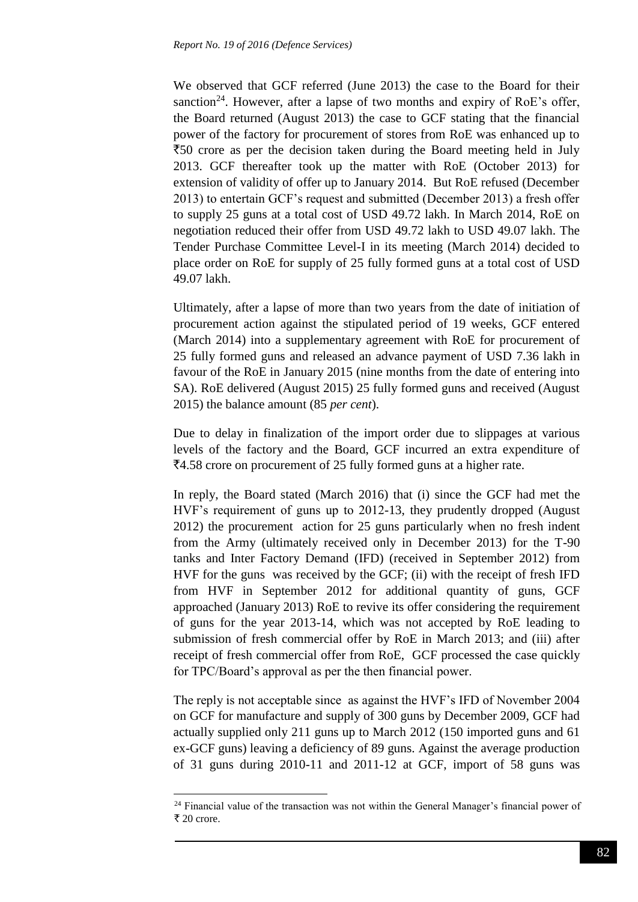We observed that GCF referred (June 2013) the case to the Board for their sanction<sup>24</sup>. However, after a lapse of two months and expiry of RoE's offer, the Board returned (August 2013) the case to GCF stating that the financial power of the factory for procurement of stores from RoE was enhanced up to  $\overline{50}$  crore as per the decision taken during the Board meeting held in July 2013. GCF thereafter took up the matter with RoE (October 2013) for extension of validity of offer up to January 2014. But RoE refused (December 2013) to entertain GCF's request and submitted (December 2013) a fresh offer to supply 25 guns at a total cost of USD 49.72 lakh. In March 2014, RoE on negotiation reduced their offer from USD 49.72 lakh to USD 49.07 lakh. The Tender Purchase Committee Level-I in its meeting (March 2014) decided to place order on RoE for supply of 25 fully formed guns at a total cost of USD 49.07 lakh.

Ultimately, after a lapse of more than two years from the date of initiation of procurement action against the stipulated period of 19 weeks, GCF entered (March 2014) into a supplementary agreement with RoE for procurement of 25 fully formed guns and released an advance payment of USD 7.36 lakh in favour of the RoE in January 2015 (nine months from the date of entering into SA). RoE delivered (August 2015) 25 fully formed guns and received (August 2015) the balance amount (85 *per cent*).

Due to delay in finalization of the import order due to slippages at various levels of the factory and the Board, GCF incurred an extra expenditure of `4.58 crore on procurement of 25 fully formed guns at a higher rate.

In reply, the Board stated (March 2016) that (i) since the GCF had met the HVF's requirement of guns up to 2012-13, they prudently dropped (August 2012) the procurement action for 25 guns particularly when no fresh indent from the Army (ultimately received only in December 2013) for the T-90 tanks and Inter Factory Demand (IFD) (received in September 2012) from HVF for the guns was received by the GCF; (ii) with the receipt of fresh IFD from HVF in September 2012 for additional quantity of guns, GCF approached (January 2013) RoE to revive its offer considering the requirement of guns for the year 2013-14, which was not accepted by RoE leading to submission of fresh commercial offer by RoE in March 2013; and (iii) after receipt of fresh commercial offer from RoE, GCF processed the case quickly for TPC/Board's approval as per the then financial power.

The reply is not acceptable since as against the HVF's IFD of November 2004 on GCF for manufacture and supply of 300 guns by December 2009, GCF had actually supplied only 211 guns up to March 2012 (150 imported guns and 61 ex-GCF guns) leaving a deficiency of 89 guns. Against the average production of 31 guns during 2010-11 and 2011-12 at GCF, import of 58 guns was

 $24$  Financial value of the transaction was not within the General Manager's financial power of ₹ 20 crore.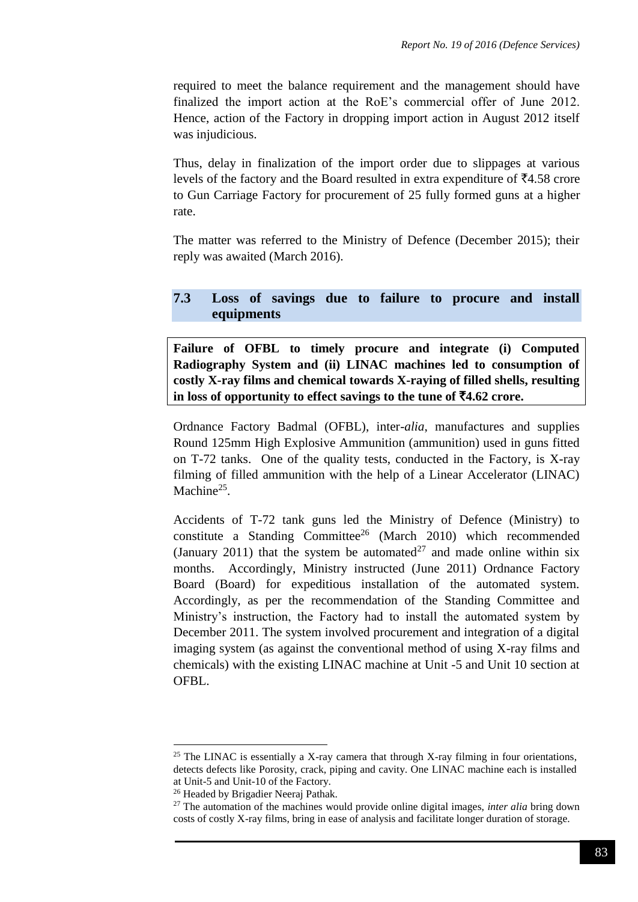required to meet the balance requirement and the management should have finalized the import action at the RoE's commercial offer of June 2012. Hence, action of the Factory in dropping import action in August 2012 itself was injudicious.

Thus, delay in finalization of the import order due to slippages at various levels of the factory and the Board resulted in extra expenditure of  $\bar{z}4.58$  crore to Gun Carriage Factory for procurement of 25 fully formed guns at a higher rate.

The matter was referred to the Ministry of Defence (December 2015); their reply was awaited (March 2016).

## **7.3 Loss of savings due to failure to procure and install equipments**

**Failure of OFBL to timely procure and integrate (i) Computed Radiography System and (ii) LINAC machines led to consumption of costly X-ray films and chemical towards X-raying of filled shells, resulting**  in loss of opportunity to effect savings to the tune of  $\overline{5}4.62$  crore.

Ordnance Factory Badmal (OFBL), inter*-alia*, manufactures and supplies Round 125mm High Explosive Ammunition (ammunition) used in guns fitted on T-72 tanks. One of the quality tests, conducted in the Factory, is X-ray filming of filled ammunition with the help of a Linear Accelerator (LINAC) Machine<sup>25</sup>.

Accidents of T-72 tank guns led the Ministry of Defence (Ministry) to constitute a Standing Committee<sup>26</sup> (March 2010) which recommended (January 2011) that the system be automated<sup>27</sup> and made online within six months. Accordingly, Ministry instructed (June 2011) Ordnance Factory Board (Board) for expeditious installation of the automated system. Accordingly, as per the recommendation of the Standing Committee and Ministry's instruction, the Factory had to install the automated system by December 2011. The system involved procurement and integration of a digital imaging system (as against the conventional method of using X-ray films and chemicals) with the existing LINAC machine at Unit -5 and Unit 10 section at OFBL.

 $25$  The LINAC is essentially a X-ray camera that through X-ray filming in four orientations, detects defects like Porosity, crack, piping and cavity. One LINAC machine each is installed at Unit-5 and Unit-10 of the Factory.

<sup>&</sup>lt;sup>26</sup> Headed by Brigadier Neeraj Pathak.

<sup>27</sup> The automation of the machines would provide online digital images, *inter alia* bring down costs of costly X-ray films, bring in ease of analysis and facilitate longer duration of storage.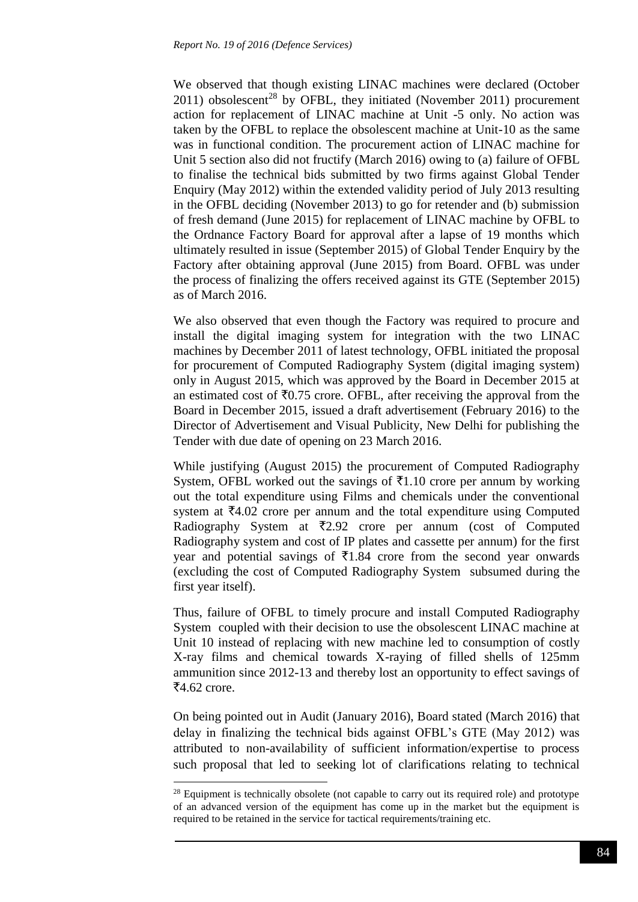We observed that though existing LINAC machines were declared (October  $2011$ ) obsolescent<sup>28</sup> by OFBL, they initiated (November 2011) procurement action for replacement of LINAC machine at Unit -5 only. No action was taken by the OFBL to replace the obsolescent machine at Unit-10 as the same was in functional condition. The procurement action of LINAC machine for Unit 5 section also did not fructify (March 2016) owing to (a) failure of OFBL to finalise the technical bids submitted by two firms against Global Tender Enquiry (May 2012) within the extended validity period of July 2013 resulting in the OFBL deciding (November 2013) to go for retender and (b) submission of fresh demand (June 2015) for replacement of LINAC machine by OFBL to the Ordnance Factory Board for approval after a lapse of 19 months which ultimately resulted in issue (September 2015) of Global Tender Enquiry by the Factory after obtaining approval (June 2015) from Board. OFBL was under the process of finalizing the offers received against its GTE (September 2015) as of March 2016.

We also observed that even though the Factory was required to procure and install the digital imaging system for integration with the two LINAC machines by December 2011 of latest technology, OFBL initiated the proposal for procurement of Computed Radiography System (digital imaging system) only in August 2015, which was approved by the Board in December 2015 at an estimated cost of  $\overline{50.75}$  crore. OFBL, after receiving the approval from the Board in December 2015, issued a draft advertisement (February 2016) to the Director of Advertisement and Visual Publicity, New Delhi for publishing the Tender with due date of opening on 23 March 2016.

While justifying (August 2015) the procurement of Computed Radiography System, OFBL worked out the savings of  $\bar{\tau}1.10$  crore per annum by working out the total expenditure using Films and chemicals under the conventional system at  $\bar{\mathcal{F}}_4$ .02 crore per annum and the total expenditure using Computed Radiography System at  $\overline{z}$ 2.92 crore per annum (cost of Computed Radiography system and cost of IP plates and cassette per annum) for the first year and potential savings of  $\bar{\tau}$ 1.84 crore from the second year onwards (excluding the cost of Computed Radiography System subsumed during the first year itself).

Thus, failure of OFBL to timely procure and install Computed Radiography System coupled with their decision to use the obsolescent LINAC machine at Unit 10 instead of replacing with new machine led to consumption of costly X-ray films and chemical towards X-raying of filled shells of 125mm ammunition since 2012-13 and thereby lost an opportunity to effect savings of  $\overline{5}4.62$  crore.

On being pointed out in Audit (January 2016), Board stated (March 2016) that delay in finalizing the technical bids against OFBL's GTE (May 2012) was attributed to non-availability of sufficient information/expertise to process such proposal that led to seeking lot of clarifications relating to technical

<sup>&</sup>lt;sup>28</sup> Equipment is technically obsolete (not capable to carry out its required role) and prototype of an advanced version of the equipment has come up in the market but the equipment is required to be retained in the service for tactical requirements/training etc.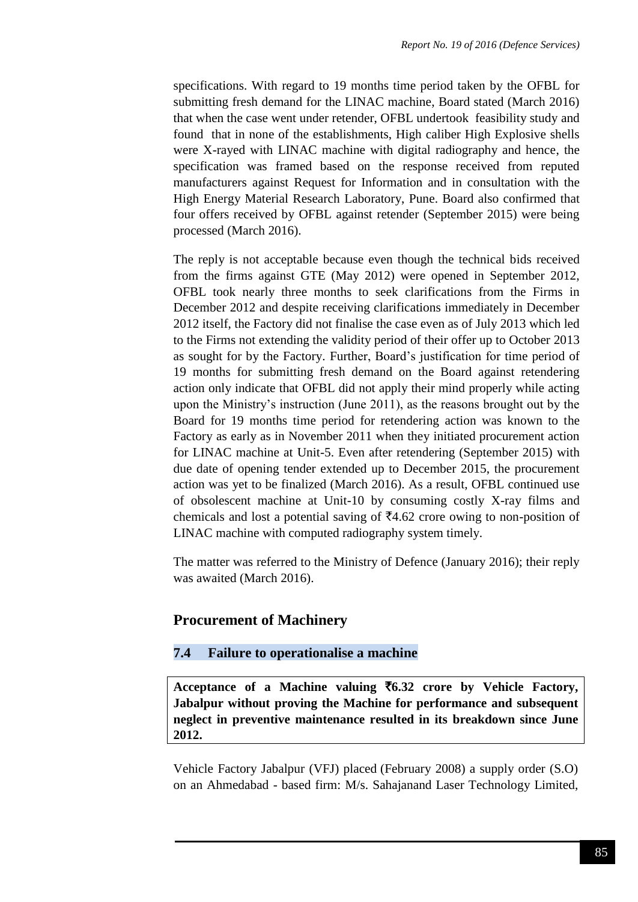specifications. With regard to 19 months time period taken by the OFBL for submitting fresh demand for the LINAC machine, Board stated (March 2016) that when the case went under retender, OFBL undertook feasibility study and found that in none of the establishments, High caliber High Explosive shells were X-rayed with LINAC machine with digital radiography and hence, the specification was framed based on the response received from reputed manufacturers against Request for Information and in consultation with the High Energy Material Research Laboratory, Pune. Board also confirmed that four offers received by OFBL against retender (September 2015) were being processed (March 2016).

The reply is not acceptable because even though the technical bids received from the firms against GTE (May 2012) were opened in September 2012, OFBL took nearly three months to seek clarifications from the Firms in December 2012 and despite receiving clarifications immediately in December 2012 itself, the Factory did not finalise the case even as of July 2013 which led to the Firms not extending the validity period of their offer up to October 2013 as sought for by the Factory. Further, Board's justification for time period of 19 months for submitting fresh demand on the Board against retendering action only indicate that OFBL did not apply their mind properly while acting upon the Ministry's instruction (June 2011), as the reasons brought out by the Board for 19 months time period for retendering action was known to the Factory as early as in November 2011 when they initiated procurement action for LINAC machine at Unit-5. Even after retendering (September 2015) with due date of opening tender extended up to December 2015, the procurement action was yet to be finalized (March 2016). As a result, OFBL continued use of obsolescent machine at Unit-10 by consuming costly X-ray films and chemicals and lost a potential saving of  $\bar{\mathfrak{z}}4.62$  crore owing to non-position of LINAC machine with computed radiography system timely.

The matter was referred to the Ministry of Defence (January 2016); their reply was awaited (March 2016).

# **Procurement of Machinery**

## **7.4 Failure to operationalise a machine**

**Acceptance of a Machine valuing** `**6.32 crore by Vehicle Factory, Jabalpur without proving the Machine for performance and subsequent neglect in preventive maintenance resulted in its breakdown since June 2012.** 

Vehicle Factory Jabalpur (VFJ) placed (February 2008) a supply order (S.O) on an Ahmedabad - based firm: M/s. Sahajanand Laser Technology Limited,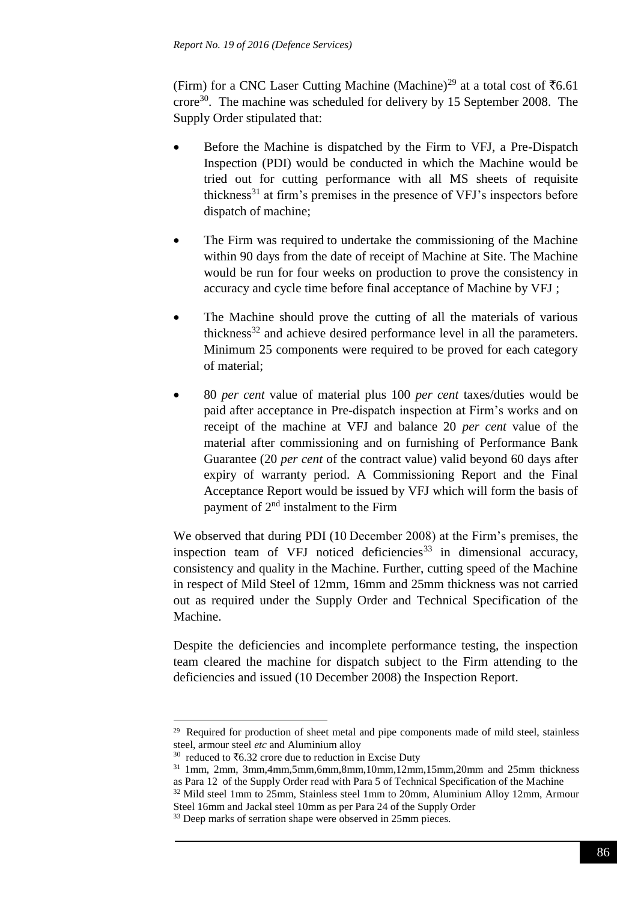(Firm) for a CNC Laser Cutting Machine (Machine)<sup>29</sup> at a total cost of  $\bar{c}6.61$ crore<sup>30</sup>. The machine was scheduled for delivery by 15 September 2008. The Supply Order stipulated that:

- Before the Machine is dispatched by the Firm to VFJ, a Pre-Dispatch Inspection (PDI) would be conducted in which the Machine would be tried out for cutting performance with all MS sheets of requisite thickness<sup>31</sup> at firm's premises in the presence of VFJ's inspectors before dispatch of machine;
- The Firm was required to undertake the commissioning of the Machine within 90 days from the date of receipt of Machine at Site. The Machine would be run for four weeks on production to prove the consistency in accuracy and cycle time before final acceptance of Machine by VFJ ;
- The Machine should prove the cutting of all the materials of various thickness $32$  and achieve desired performance level in all the parameters. Minimum 25 components were required to be proved for each category of material;
- 80 *per cent* value of material plus 100 *per cent* taxes/duties would be paid after acceptance in Pre-dispatch inspection at Firm's works and on receipt of the machine at VFJ and balance 20 *per cent* value of the material after commissioning and on furnishing of Performance Bank Guarantee (20 *per cent* of the contract value) valid beyond 60 days after expiry of warranty period. A Commissioning Report and the Final Acceptance Report would be issued by VFJ which will form the basis of payment of 2nd instalment to the Firm

We observed that during PDI (10 December 2008) at the Firm's premises, the inspection team of VFJ noticed deficiencies<sup>33</sup> in dimensional accuracy, consistency and quality in the Machine. Further, cutting speed of the Machine in respect of Mild Steel of 12mm, 16mm and 25mm thickness was not carried out as required under the Supply Order and Technical Specification of the Machine.

Despite the deficiencies and incomplete performance testing, the inspection team cleared the machine for dispatch subject to the Firm attending to the deficiencies and issued (10 December 2008) the Inspection Report.

<sup>1</sup> <sup>29</sup> Required for production of sheet metal and pipe components made of mild steel, stainless steel, armour steel *etc* and Aluminium alloy

<sup>&</sup>lt;sup>30</sup> reduced to  $\text{\textsterling}6.32$  crore due to reduction in Excise Duty

<sup>31</sup> 1mm, 2mm, 3mm,4mm,5mm,6mm,8mm,10mm,12mm,15mm,20mm and 25mm thickness as Para 12 of the Supply Order read with Para 5 of Technical Specification of the Machine

<sup>&</sup>lt;sup>32</sup> Mild steel 1mm to 25mm, Stainless steel 1mm to 20mm, Aluminium Alloy 12mm, Armour Steel 16mm and Jackal steel 10mm as per Para 24 of the Supply Order

<sup>&</sup>lt;sup>33</sup> Deep marks of serration shape were observed in 25mm pieces.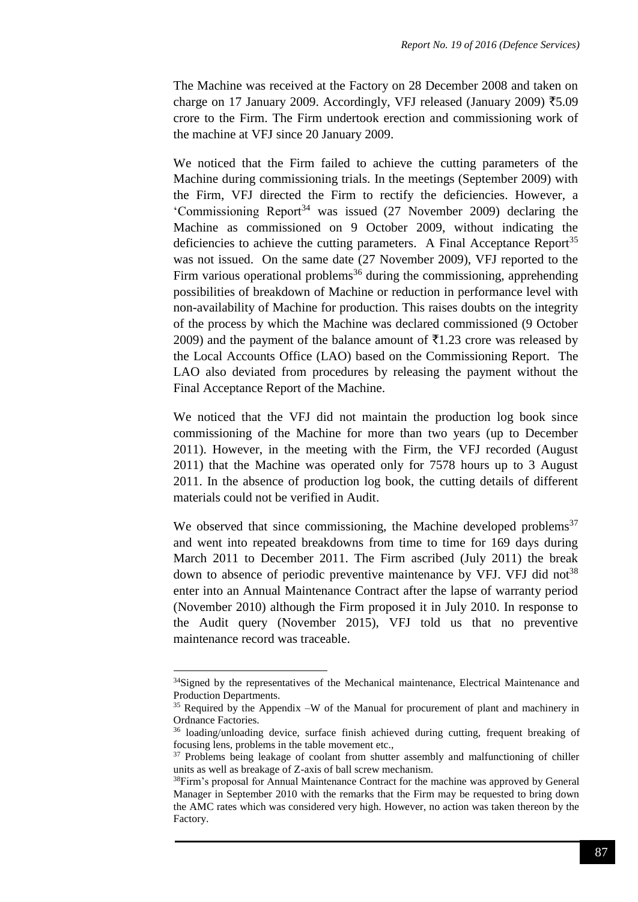The Machine was received at the Factory on 28 December 2008 and taken on charge on 17 January 2009. Accordingly, VFJ released (January 2009)  $\overline{\xi}$ 5.09 crore to the Firm. The Firm undertook erection and commissioning work of the machine at VFJ since 20 January 2009.

We noticed that the Firm failed to achieve the cutting parameters of the Machine during commissioning trials. In the meetings (September 2009) with the Firm, VFJ directed the Firm to rectify the deficiencies. However, a 'Commissioning Report<sup>34</sup> was issued  $(27 \text{ November } 2009)$  declaring the Machine as commissioned on 9 October 2009, without indicating the deficiencies to achieve the cutting parameters. A Final Acceptance Report<sup>35</sup> was not issued. On the same date (27 November 2009), VFJ reported to the Firm various operational problems<sup>36</sup> during the commissioning, apprehending possibilities of breakdown of Machine or reduction in performance level with non-availability of Machine for production. This raises doubts on the integrity of the process by which the Machine was declared commissioned (9 October 2009) and the payment of the balance amount of  $\bar{\bar{\xi}}$ 1.23 crore was released by the Local Accounts Office (LAO) based on the Commissioning Report. The LAO also deviated from procedures by releasing the payment without the Final Acceptance Report of the Machine.

We noticed that the VFJ did not maintain the production log book since commissioning of the Machine for more than two years (up to December 2011). However, in the meeting with the Firm, the VFJ recorded (August 2011) that the Machine was operated only for 7578 hours up to 3 August 2011. In the absence of production log book, the cutting details of different materials could not be verified in Audit.

We observed that since commissioning, the Machine developed problems<sup>37</sup> and went into repeated breakdowns from time to time for 169 days during March 2011 to December 2011. The Firm ascribed (July 2011) the break down to absence of periodic preventive maintenance by VFJ. VFJ did not<sup>38</sup> enter into an Annual Maintenance Contract after the lapse of warranty period (November 2010) although the Firm proposed it in July 2010. In response to the Audit query (November 2015), VFJ told us that no preventive maintenance record was traceable.

<sup>&</sup>lt;sup>34</sup>Signed by the representatives of the Mechanical maintenance, Electrical Maintenance and Production Departments.

<sup>&</sup>lt;sup>35</sup> Required by the Appendix –W of the Manual for procurement of plant and machinery in Ordnance Factories.

<sup>36</sup> loading/unloading device, surface finish achieved during cutting, frequent breaking of focusing lens, problems in the table movement etc.,

<sup>&</sup>lt;sup>37</sup> Problems being leakage of coolant from shutter assembly and malfunctioning of chiller units as well as breakage of Z-axis of ball screw mechanism.

<sup>&</sup>lt;sup>38</sup>Firm's proposal for Annual Maintenance Contract for the machine was approved by General Manager in September 2010 with the remarks that the Firm may be requested to bring down the AMC rates which was considered very high. However, no action was taken thereon by the Factory.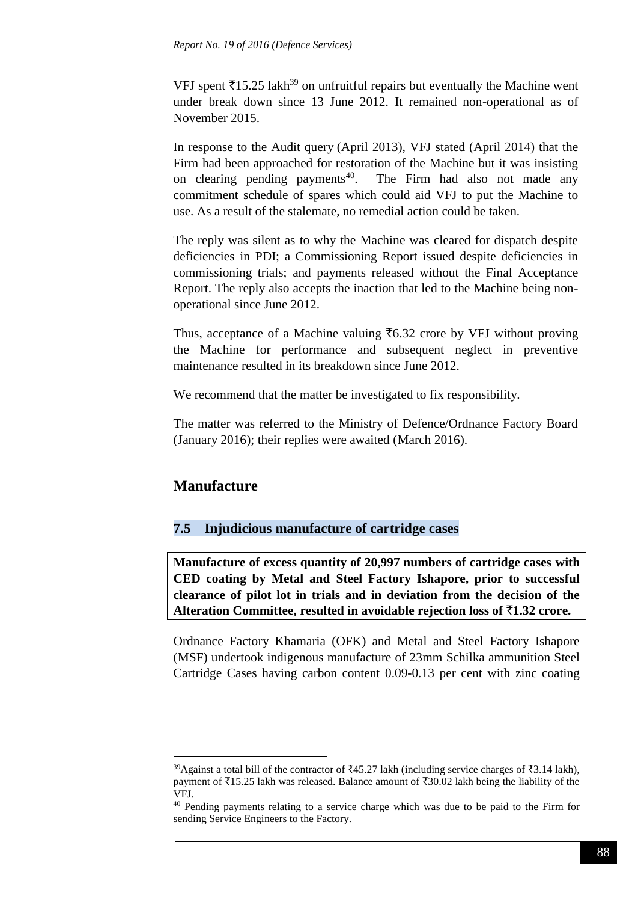VFJ spent  $\overline{515.25}$  lakh<sup>39</sup> on unfruitful repairs but eventually the Machine went under break down since 13 June 2012. It remained non-operational as of November 2015.

In response to the Audit query (April 2013), VFJ stated (April 2014) that the Firm had been approached for restoration of the Machine but it was insisting on clearing pending payments<sup>40</sup>. The Firm had also not made any commitment schedule of spares which could aid VFJ to put the Machine to use. As a result of the stalemate, no remedial action could be taken.

The reply was silent as to why the Machine was cleared for dispatch despite deficiencies in PDI; a Commissioning Report issued despite deficiencies in commissioning trials; and payments released without the Final Acceptance Report. The reply also accepts the inaction that led to the Machine being nonoperational since June 2012.

Thus, acceptance of a Machine valuing  $\bar{\tau}$ 6.32 crore by VFJ without proving the Machine for performance and subsequent neglect in preventive maintenance resulted in its breakdown since June 2012.

We recommend that the matter be investigated to fix responsibility.

The matter was referred to the Ministry of Defence/Ordnance Factory Board (January 2016); their replies were awaited (March 2016).

## **Manufacture**

<u>.</u>

## **7.5 Injudicious manufacture of cartridge cases**

**Manufacture of excess quantity of 20,997 numbers of cartridge cases with CED coating by Metal and Steel Factory Ishapore, prior to successful clearance of pilot lot in trials and in deviation from the decision of the Alteration Committee, resulted in avoidable rejection loss of** `**1.32 crore.** 

Ordnance Factory Khamaria (OFK) and Metal and Steel Factory Ishapore (MSF) undertook indigenous manufacture of 23mm Schilka ammunition Steel Cartridge Cases having carbon content 0.09-0.13 per cent with zinc coating

<sup>&</sup>lt;sup>39</sup>Against a total bill of the contractor of ₹45.27 lakh (including service charges of ₹3.14 lakh), payment of  $\overline{\xi}$ 15.25 lakh was released. Balance amount of  $\overline{\xi}$ 30.02 lakh being the liability of the VFJ.

<sup>40</sup> Pending payments relating to a service charge which was due to be paid to the Firm for sending Service Engineers to the Factory.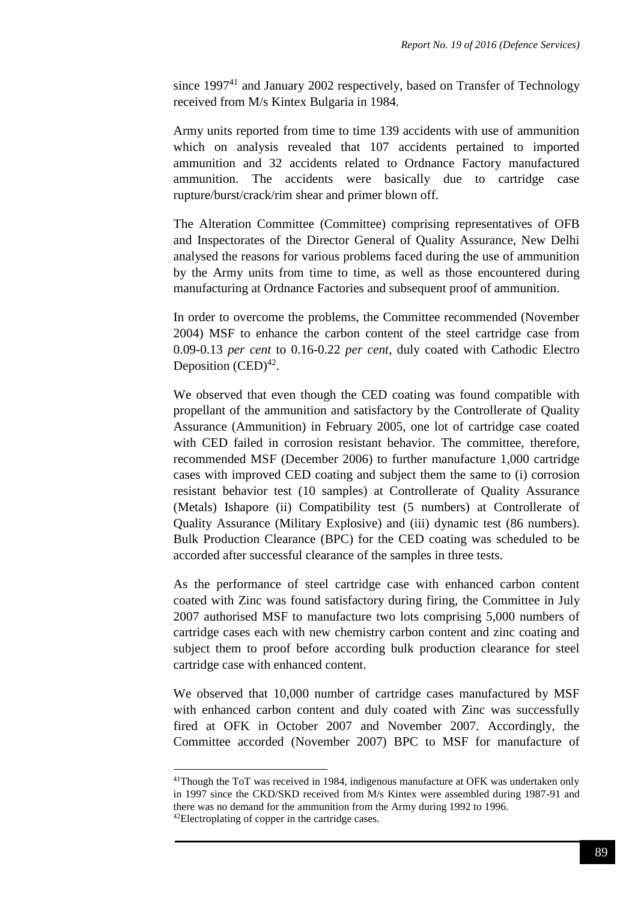since 1997<sup>41</sup> and January 2002 respectively, based on Transfer of Technology received from M/s Kintex Bulgaria in 1984.

Army units reported from time to time 139 accidents with use of ammunition which on analysis revealed that 107 accidents pertained to imported ammunition and 32 accidents related to Ordnance Factory manufactured ammunition. The accidents were basically due to cartridge case rupture/burst/crack/rim shear and primer blown off.

The Alteration Committee (Committee) comprising representatives of OFB and Inspectorates of the Director General of Quality Assurance, New Delhi analysed the reasons for various problems faced during the use of ammunition by the Army units from time to time, as well as those encountered during manufacturing at Ordnance Factories and subsequent proof of ammunition.

In order to overcome the problems, the Committee recommended (November 2004) MSF to enhance the carbon content of the steel cartridge case from 0.09-0.13 *per cent* to 0.16-0.22 *per cent*, duly coated with Cathodic Electro Deposition  $(CED)^{42}$ .

We observed that even though the CED coating was found compatible with propellant of the ammunition and satisfactory by the Controllerate of Quality Assurance (Ammunition) in February 2005, one lot of cartridge case coated with CED failed in corrosion resistant behavior. The committee, therefore, recommended MSF (December 2006) to further manufacture 1,000 cartridge cases with improved CED coating and subject them the same to (i) corrosion resistant behavior test (10 samples) at Controllerate of Quality Assurance (Metals) Ishapore (ii) Compatibility test (5 numbers) at Controllerate of Quality Assurance (Military Explosive) and (iii) dynamic test (86 numbers). Bulk Production Clearance (BPC) for the CED coating was scheduled to be accorded after successful clearance of the samples in three tests.

As the performance of steel cartridge case with enhanced carbon content coated with Zinc was found satisfactory during firing, the Committee in July 2007 authorised MSF to manufacture two lots comprising 5,000 numbers of cartridge cases each with new chemistry carbon content and zinc coating and subject them to proof before according bulk production clearance for steel cartridge case with enhanced content.

We observed that 10,000 number of cartridge cases manufactured by MSF with enhanced carbon content and duly coated with Zinc was successfully fired at OFK in October 2007 and November 2007. Accordingly, the Committee accorded (November 2007) BPC to MSF for manufacture of

-

<sup>41</sup>Though the ToT was received in 1984, indigenous manufacture at OFK was undertaken only in 1997 since the CKD/SKD received from M/s Kintex were assembled during 1987-91 and there was no demand for the ammunition from the Army during 1992 to 1996. 42Electroplating of copper in the cartridge cases.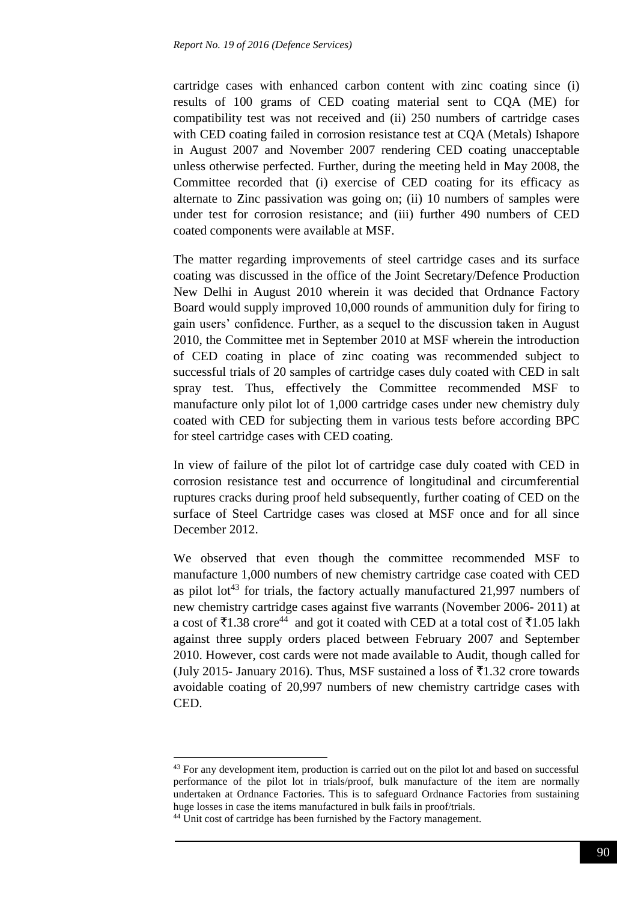cartridge cases with enhanced carbon content with zinc coating since (i) results of 100 grams of CED coating material sent to CQA (ME) for compatibility test was not received and (ii) 250 numbers of cartridge cases with CED coating failed in corrosion resistance test at CQA (Metals) Ishapore in August 2007 and November 2007 rendering CED coating unacceptable unless otherwise perfected. Further, during the meeting held in May 2008, the Committee recorded that (i) exercise of CED coating for its efficacy as alternate to Zinc passivation was going on; (ii) 10 numbers of samples were under test for corrosion resistance; and (iii) further 490 numbers of CED coated components were available at MSF.

The matter regarding improvements of steel cartridge cases and its surface coating was discussed in the office of the Joint Secretary/Defence Production New Delhi in August 2010 wherein it was decided that Ordnance Factory Board would supply improved 10,000 rounds of ammunition duly for firing to gain users' confidence. Further, as a sequel to the discussion taken in August 2010, the Committee met in September 2010 at MSF wherein the introduction of CED coating in place of zinc coating was recommended subject to successful trials of 20 samples of cartridge cases duly coated with CED in salt spray test. Thus, effectively the Committee recommended MSF to manufacture only pilot lot of 1,000 cartridge cases under new chemistry duly coated with CED for subjecting them in various tests before according BPC for steel cartridge cases with CED coating.

In view of failure of the pilot lot of cartridge case duly coated with CED in corrosion resistance test and occurrence of longitudinal and circumferential ruptures cracks during proof held subsequently, further coating of CED on the surface of Steel Cartridge cases was closed at MSF once and for all since December 2012.

We observed that even though the committee recommended MSF to manufacture 1,000 numbers of new chemistry cartridge case coated with CED as pilot lot<sup>43</sup> for trials, the factory actually manufactured  $21,997$  numbers of new chemistry cartridge cases against five warrants (November 2006- 2011) at a cost of  $\bar{\tau}$ 1.38 crore<sup>44</sup> and got it coated with CED at a total cost of  $\bar{\tau}$ 1.05 lakh against three supply orders placed between February 2007 and September 2010. However, cost cards were not made available to Audit, though called for (July 2015- January 2016). Thus, MSF sustained a loss of  $\bar{\tau}$ 1.32 crore towards avoidable coating of 20,997 numbers of new chemistry cartridge cases with CED.

<u>.</u>

<sup>&</sup>lt;sup>43</sup> For any development item, production is carried out on the pilot lot and based on successful performance of the pilot lot in trials/proof, bulk manufacture of the item are normally undertaken at Ordnance Factories. This is to safeguard Ordnance Factories from sustaining huge losses in case the items manufactured in bulk fails in proof/trials.

<sup>&</sup>lt;sup>44</sup> Unit cost of cartridge has been furnished by the Factory management.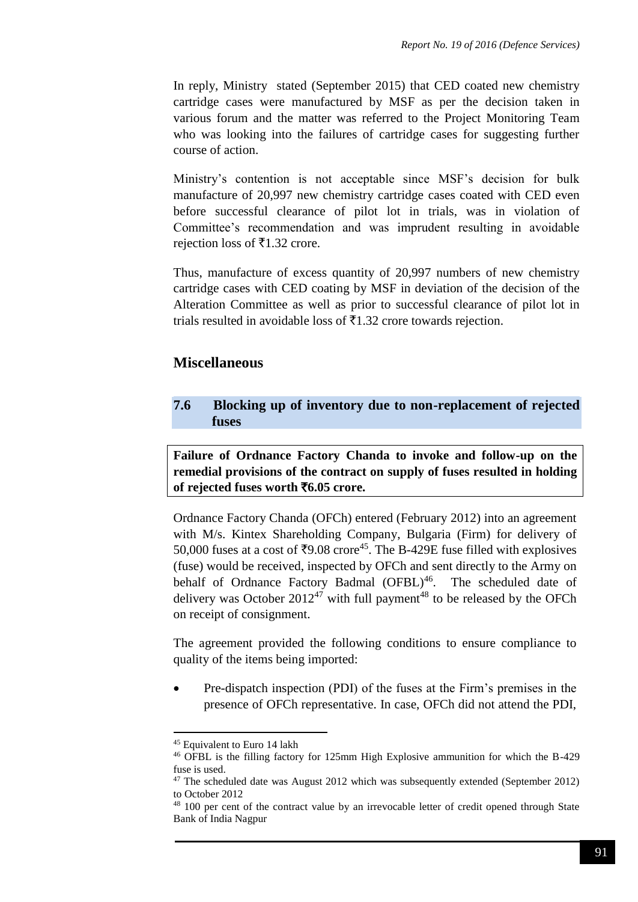In reply, Ministry stated (September 2015) that CED coated new chemistry cartridge cases were manufactured by MSF as per the decision taken in various forum and the matter was referred to the Project Monitoring Team who was looking into the failures of cartridge cases for suggesting further course of action.

Ministry's contention is not acceptable since MSF's decision for bulk manufacture of 20,997 new chemistry cartridge cases coated with CED even before successful clearance of pilot lot in trials, was in violation of Committee's recommendation and was imprudent resulting in avoidable rejection loss of  $\bar{x}$ 1.32 crore.

Thus, manufacture of excess quantity of 20,997 numbers of new chemistry cartridge cases with CED coating by MSF in deviation of the decision of the Alteration Committee as well as prior to successful clearance of pilot lot in trials resulted in avoidable loss of  $\bar{\tau}$ 1.32 crore towards rejection.

## **Miscellaneous**

## **7.6 Blocking up of inventory due to non-replacement of rejected fuses**

**Failure of Ordnance Factory Chanda to invoke and follow-up on the remedial provisions of the contract on supply of fuses resulted in holding of rejected fuses worth** `**6.05 crore.**

Ordnance Factory Chanda (OFCh) entered (February 2012) into an agreement with M/s. Kintex Shareholding Company, Bulgaria (Firm) for delivery of 50,000 fuses at a cost of ₹9.08 crore<sup>45</sup>. The B-429E fuse filled with explosives (fuse) would be received, inspected by OFCh and sent directly to the Army on behalf of Ordnance Factory Badmal (OFBL)<sup>46</sup>. The scheduled date of delivery was October  $2012^{47}$  with full payment<sup>48</sup> to be released by the OFCh on receipt of consignment.

The agreement provided the following conditions to ensure compliance to quality of the items being imported:

 Pre-dispatch inspection (PDI) of the fuses at the Firm's premises in the presence of OFCh representative. In case, OFCh did not attend the PDI,

<sup>&</sup>lt;sup>45</sup> Equivalent to Euro 14 lakh

<sup>46</sup> OFBL is the filling factory for 125mm High Explosive ammunition for which the B-429 fuse is used.

<sup>&</sup>lt;sup>47</sup> The scheduled date was August 2012 which was subsequently extended (September 2012) to October 2012

<sup>&</sup>lt;sup>48</sup> 100 per cent of the contract value by an irrevocable letter of credit opened through State Bank of India Nagpur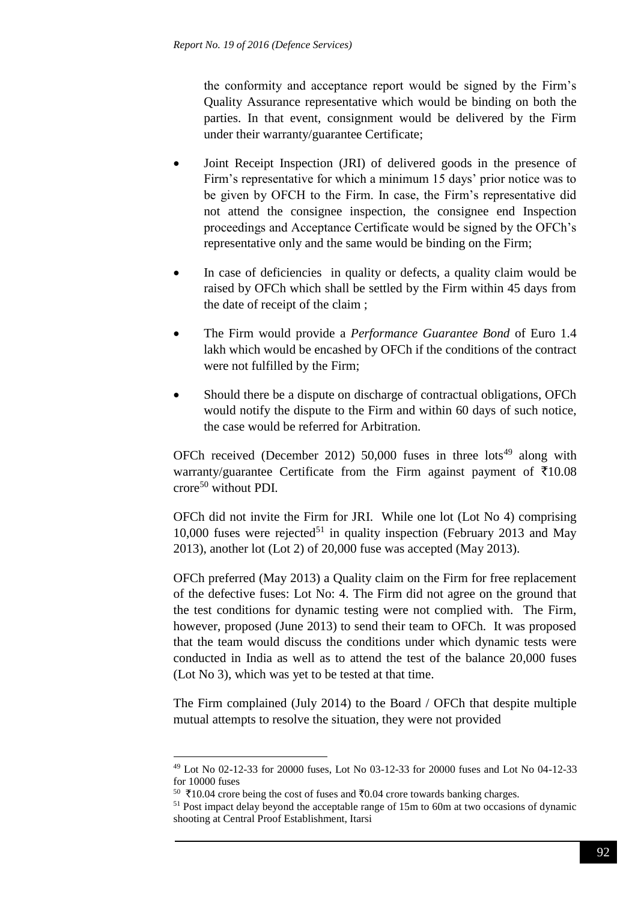the conformity and acceptance report would be signed by the Firm's Quality Assurance representative which would be binding on both the parties. In that event, consignment would be delivered by the Firm under their warranty/guarantee Certificate;

- Joint Receipt Inspection (JRI) of delivered goods in the presence of Firm's representative for which a minimum 15 days' prior notice was to be given by OFCH to the Firm. In case, the Firm's representative did not attend the consignee inspection, the consignee end Inspection proceedings and Acceptance Certificate would be signed by the OFCh's representative only and the same would be binding on the Firm;
- In case of deficiencies in quality or defects, a quality claim would be raised by OFCh which shall be settled by the Firm within 45 days from the date of receipt of the claim ;
- The Firm would provide a *Performance Guarantee Bond* of Euro 1.4 lakh which would be encashed by OFCh if the conditions of the contract were not fulfilled by the Firm;
- Should there be a dispute on discharge of contractual obligations, OFCh would notify the dispute to the Firm and within 60 days of such notice, the case would be referred for Arbitration.

OFCh received (December 2012) 50,000 fuses in three  $\text{lots}^{49}$  along with warranty/guarantee Certificate from the Firm against payment of  $\bar{\tau}10.08$ crore<sup>50</sup> without PDI.

OFCh did not invite the Firm for JRI. While one lot (Lot No 4) comprising 10,000 fuses were rejected<sup>51</sup> in quality inspection (February 2013 and May 2013), another lot (Lot 2) of 20,000 fuse was accepted (May 2013).

OFCh preferred (May 2013) a Quality claim on the Firm for free replacement of the defective fuses: Lot No: 4. The Firm did not agree on the ground that the test conditions for dynamic testing were not complied with. The Firm, however, proposed (June 2013) to send their team to OFCh. It was proposed that the team would discuss the conditions under which dynamic tests were conducted in India as well as to attend the test of the balance 20,000 fuses (Lot No 3), which was yet to be tested at that time.

The Firm complained (July 2014) to the Board / OFCh that despite multiple mutual attempts to resolve the situation, they were not provided

<sup>49</sup> Lot No 02-12-33 for 20000 fuses, Lot No 03-12-33 for 20000 fuses and Lot No 04-12-33 for 10000 fuses

 $50 \overline{*}10.04$  crore being the cost of fuses and  $\overline{0.04}$  crore towards banking charges.

<sup>&</sup>lt;sup>51</sup> Post impact delay beyond the acceptable range of 15m to 60m at two occasions of dynamic shooting at Central Proof Establishment, Itarsi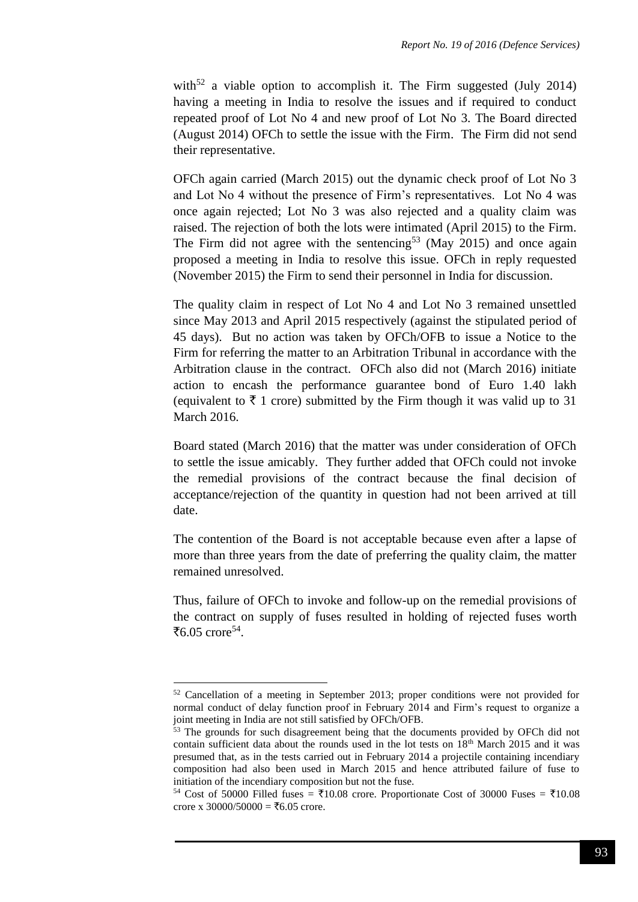with<sup>52</sup> a viable option to accomplish it. The Firm suggested (July 2014) having a meeting in India to resolve the issues and if required to conduct repeated proof of Lot No 4 and new proof of Lot No 3. The Board directed (August 2014) OFCh to settle the issue with the Firm. The Firm did not send their representative.

OFCh again carried (March 2015) out the dynamic check proof of Lot No 3 and Lot No 4 without the presence of Firm's representatives. Lot No 4 was once again rejected; Lot No 3 was also rejected and a quality claim was raised. The rejection of both the lots were intimated (April 2015) to the Firm. The Firm did not agree with the sentencing<sup>53</sup> (May 2015) and once again proposed a meeting in India to resolve this issue. OFCh in reply requested (November 2015) the Firm to send their personnel in India for discussion.

The quality claim in respect of Lot No 4 and Lot No 3 remained unsettled since May 2013 and April 2015 respectively (against the stipulated period of 45 days). But no action was taken by OFCh/OFB to issue a Notice to the Firm for referring the matter to an Arbitration Tribunal in accordance with the Arbitration clause in the contract. OFCh also did not (March 2016) initiate action to encash the performance guarantee bond of Euro 1.40 lakh (equivalent to  $\bar{\tau}$  1 crore) submitted by the Firm though it was valid up to 31 March 2016.

Board stated (March 2016) that the matter was under consideration of OFCh to settle the issue amicably. They further added that OFCh could not invoke the remedial provisions of the contract because the final decision of acceptance/rejection of the quantity in question had not been arrived at till date.

The contention of the Board is not acceptable because even after a lapse of more than three years from the date of preferring the quality claim, the matter remained unresolved.

Thus, failure of OFCh to invoke and follow-up on the remedial provisions of the contract on supply of fuses resulted in holding of rejected fuses worth ₹6.05 crore<sup>54</sup>.

<u>.</u>

<sup>52</sup> Cancellation of a meeting in September 2013; proper conditions were not provided for normal conduct of delay function proof in February 2014 and Firm's request to organize a joint meeting in India are not still satisfied by OFCh/OFB.

<sup>&</sup>lt;sup>53</sup> The grounds for such disagreement being that the documents provided by OFCh did not contain sufficient data about the rounds used in the lot tests on  $18<sup>th</sup>$  March 2015 and it was presumed that, as in the tests carried out in February 2014 a projectile containing incendiary composition had also been used in March 2015 and hence attributed failure of fuse to initiation of the incendiary composition but not the fuse.

<sup>&</sup>lt;sup>54</sup> Cost of 50000 Filled fuses =  $\overline{5}10.08$  crore. Proportionate Cost of 30000 Fuses =  $\overline{5}10.08$ crore x 30000/50000 =  $\text{\textless}6.05$  crore.